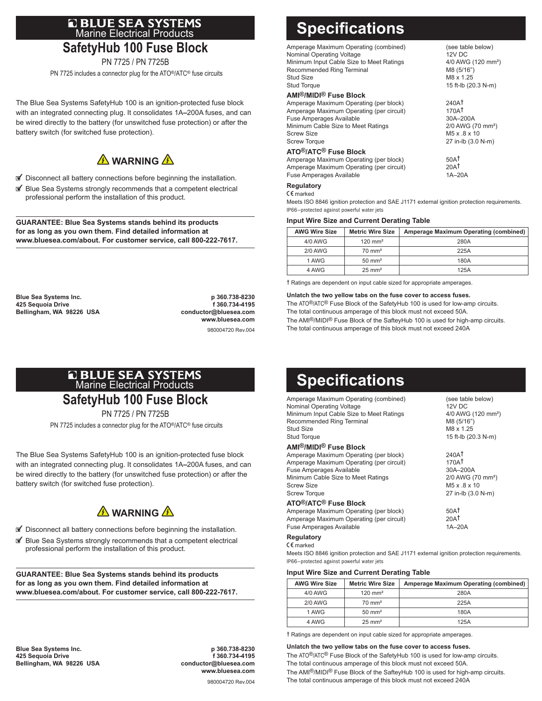# **Q BLUE SEA SYSTEMS**<br>Marine Electrical Products **SafetyHub 100 Fuse Block**

PN 7725 / PN 7725B

PN 7725 includes a connector plug for the ATO®/ATC® fuse circuits

The Blue Sea Systems SafetyHub 100 is an ignition-protected fuse block with an integrated connecting plug. It consolidates 1A**–**200A fuses, and can be wired directly to the battery (for unswitched fuse protection) or after the battery switch (for switched fuse protection).



- $\blacksquare$  Disconnect all battery connections before beginning the installation.
- $\mathbb I$  Blue Sea Systems strongly recommends that a competent electrical professional perform the installation of this product.

**GUARANTEE: Blue Sea Systems stands behind its products for as long as you own them. Find detailed information at www.bluesea.com/about. For customer service, call 800-222-7617.**

**Blue Sea Systems Inc. p 360.738-8230 425 Sequoia Drive f 360.734-4195 Bellingham, WA 98226 USA** 

 **www.bluesea.com** 980004720 Rev.004

# **E BLUE SEA SYSTEMS**<br>Marine Electrical Products **SafetyHub 100 Fuse Block**

PN 7725 / PN 7725B

PN 7725 includes a connector plug for the ATO®/ATC® fuse circuits

The Blue Sea Systems SafetyHub 100 is an ignition-protected fuse block with an integrated connecting plug. It consolidates 1A**–**200A fuses, and can be wired directly to the battery (for unswitched fuse protection) or after the battery switch (for switched fuse protection).

### **A** WARNING A

- $\blacksquare$  Disconnect all battery connections before beginning the installation.
- Blue Sea Systems strongly recommends that a competent electrical professional perform the installation of this product.

**GUARANTEE: Blue Sea Systems stands behind its products for as long as you own them. Find detailed information at www.bluesea.com/about. For customer service, call 800-222-7617.**

**Blue Sea Systems Inc. p 360.738-8230 425 Sequoia Drive f 360.734-4195** Bellingham, WA 98226 USA

 **www.bluesea.com** 980004720 Rev.004

# **Specifications**

| Amperage Maximum Operating (combined)<br>Nominal Operating Voltage<br>Minimum Input Cable Size to Meet Ratings<br>Recommended Ring Terminal<br>Stud Size<br><b>Stud Torque</b>                          | (see table below)<br>12V DC<br>4/0 AWG (120 mm <sup>2</sup> )<br>M8 (5/16")<br>M8 x 1.25<br>15 ft-lb (20.3 N-m) |
|---------------------------------------------------------------------------------------------------------------------------------------------------------------------------------------------------------|-----------------------------------------------------------------------------------------------------------------|
| AMI <sup>®</sup> /MIDI <sup>®</sup> Fuse Block                                                                                                                                                          |                                                                                                                 |
| Amperage Maximum Operating (per block)<br>Amperage Maximum Operating (per circuit)<br><b>Fuse Amperages Available</b><br>Minimum Cable Size to Meet Ratings<br><b>Screw Size</b><br><b>Screw Torque</b> | 240AT<br>170AT<br>30A-200A<br>2/0 AWG (70 mm <sup>2</sup> )<br>M <sub>5</sub> x .8 x 10<br>27 in-lb (3.0 N-m)   |
| ATO <sup>®</sup> /ATC <sup>®</sup> Fuse Block<br>Amperage Maximum Operating (per block)<br>Amperage Maximum Operating (per circuit)<br><b>Fuse Amperages Available</b>                                  | 50A <sup>†</sup><br>20AT<br>$1A-20A$                                                                            |
| <b>Regulatory</b><br>$C \epsilon$ marked                                                                                                                                                                |                                                                                                                 |

Meets ISO 8846 ignition protection and SAE J1171 external ignition protection requirements. IP66—protected against powerful water jets

#### **Input Wire Size and Current Derating Table**

| <b>AWG Wire Size</b> | <b>Metric Wire Size</b> | Amperage Maximum Operating (combined) |
|----------------------|-------------------------|---------------------------------------|
| $4/0$ AWG            | $120$ mm <sup>2</sup>   | 280A                                  |
| $2/0$ AWG            | $70 \text{ mm}^2$       | 225A                                  |
| 1 AWG                | $50 \text{ mm}^2$       | 180A                                  |
| 4 AWG                | $25 \text{ mm}^2$       | 125A                                  |

† Ratings are dependent on input cable sized for appropriate amperages.

#### **Unlatch the two yellow tabs on the fuse cover to access fuses.**

The ATO®/ATC® Fuse Block of the SafetyHub 100 is used for low-amp circuits. The total continuous amperage of this block must not exceed 50A. The AMI<sup>®</sup>/MIDI<sup>®</sup> Fuse Block of the SafteyHub 100 is used for high-amp circuits. The total continuous amperage of this block must not exceed 240A

**Specifications**

| Amperage Maximum Operating (combined)<br>Nominal Operating Voltage<br>Minimum Input Cable Size to Meet Ratings<br>Recommended Ring Terminal<br>Stud Size<br><b>Stud Torque</b>                          | (see table below)<br>12V DC<br>4/0 AWG (120 mm <sup>2</sup> )<br>M8 (5/16")<br>M8 x 1.25<br>15 ft-lb (20.3 N-m)          |
|---------------------------------------------------------------------------------------------------------------------------------------------------------------------------------------------------------|--------------------------------------------------------------------------------------------------------------------------|
| <b>AMI<sup>®</sup>/MIDI<sup>®</sup> Fuse Block</b>                                                                                                                                                      |                                                                                                                          |
| Amperage Maximum Operating (per block)<br>Amperage Maximum Operating (per circuit)<br><b>Fuse Amperages Available</b><br>Minimum Cable Size to Meet Ratings<br><b>Screw Size</b><br><b>Screw Torque</b> | 240AT<br>170A <sup>†</sup><br>30A-200A<br>2/0 AWG (70 mm <sup>2</sup> )<br>M <sub>5</sub> x 8 x 10<br>27 in-lb (3.0 N-m) |
| ATO <sup>®</sup> /ATC <sup>®</sup> Fuse Block<br>Amperage Maximum Operating (per block)<br>Amperage Maximum Operating (per circuit)<br><b>Fuse Amperages Available</b>                                  | 50A <sup>†</sup><br>20AT<br>$1A-20A$                                                                                     |
| Regulatory<br>$C \epsilon$ marked                                                                                                                                                                       |                                                                                                                          |

Meets ISO 8846 ignition protection and SAE J1171 external ignition protection requirements. IP66—protected against powerful water jets

#### **Input Wire Size and Current Derating Table**

| <b>AWG Wire Size</b> | <b>Metric Wire Size</b> | Amperage Maximum Operating (combined) |
|----------------------|-------------------------|---------------------------------------|
| $4/0$ AWG            | $120 \text{ mm}^2$      | 280A                                  |
| $2/0$ AWG            | $70 \text{ mm}^2$       | 225A                                  |
| 1 AWG                | $50 \text{ mm}^2$       | 180A                                  |
| 4 AWG                | $25 \text{ mm}^2$       | 125A                                  |

† Ratings are dependent on input cable sized for appropriate amperages.

**Unlatch the two yellow tabs on the fuse cover to access fuses.**  The ATO®/ATC® Fuse Block of the SafetyHub 100 is used for low-amp circuits. The total continuous amperage of this block must not exceed 50A. The AMI<sup>®</sup>/MIDI<sup>®</sup> Fuse Block of the SafteyHub 100 is used for high-amp circuits. The total continuous amperage of this block must not exceed 240A